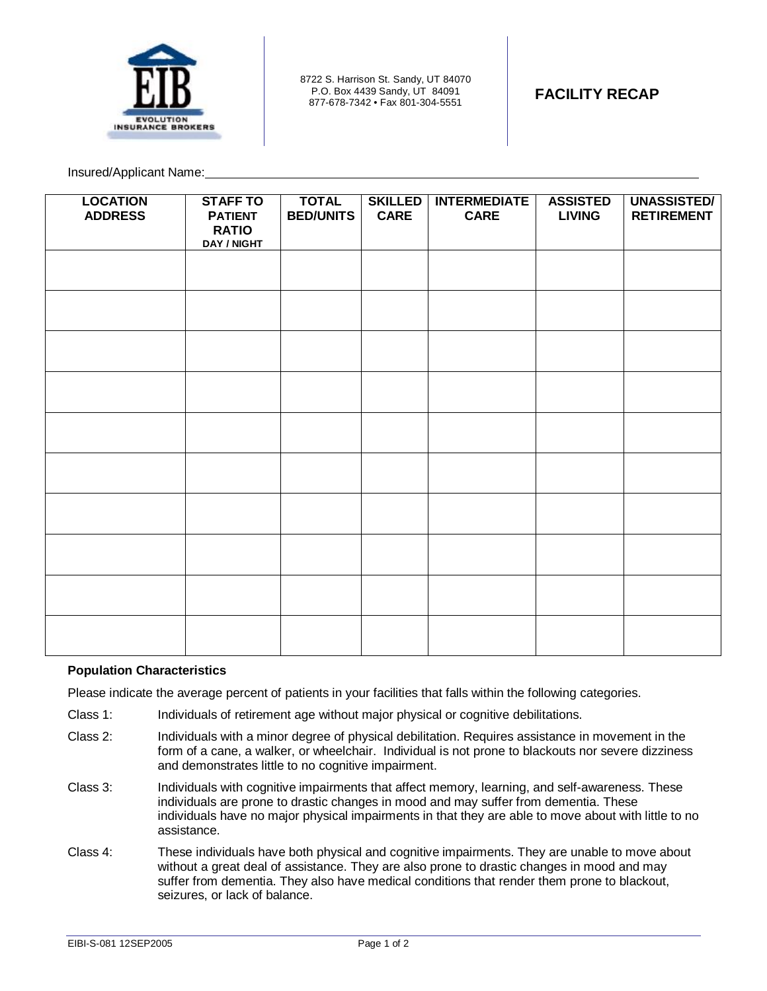

8722 S. Harrison St. Sandy, UT 84070 P.O. Box 4439 Sandy, UT 84091 877-678-7342 • Fax 801-304-5551 **FACILITY RECAP** 

Insured/Applicant Name:

| <b>LOCATION</b><br><b>ADDRESS</b> | <b>STAFF TO</b><br><b>PATIENT</b><br><b>RATIO</b><br>DAY / NIGHT | <b>TOTAL</b><br><b>BED/UNITS</b> | <b>SKILLED</b><br><b>CARE</b> | <b>INTERMEDIATE</b><br><b>CARE</b> | <b>ASSISTED</b><br><b>LIVING</b> | <b>UNASSISTED/</b><br><b>RETIREMENT</b> |
|-----------------------------------|------------------------------------------------------------------|----------------------------------|-------------------------------|------------------------------------|----------------------------------|-----------------------------------------|
|                                   |                                                                  |                                  |                               |                                    |                                  |                                         |
|                                   |                                                                  |                                  |                               |                                    |                                  |                                         |
|                                   |                                                                  |                                  |                               |                                    |                                  |                                         |
|                                   |                                                                  |                                  |                               |                                    |                                  |                                         |
|                                   |                                                                  |                                  |                               |                                    |                                  |                                         |
|                                   |                                                                  |                                  |                               |                                    |                                  |                                         |
|                                   |                                                                  |                                  |                               |                                    |                                  |                                         |
|                                   |                                                                  |                                  |                               |                                    |                                  |                                         |
|                                   |                                                                  |                                  |                               |                                    |                                  |                                         |
|                                   |                                                                  |                                  |                               |                                    |                                  |                                         |

## **Population Characteristics**

Please indicate the average percent of patients in your facilities that falls within the following categories.

- Class 1: Individuals of retirement age without major physical or cognitive debilitations.
- Class 2: Individuals with a minor degree of physical debilitation. Requires assistance in movement in the form of a cane, a walker, or wheelchair. Individual is not prone to blackouts nor severe dizziness and demonstrates little to no cognitive impairment.
- Class 3: Individuals with cognitive impairments that affect memory, learning, and self-awareness. These individuals are prone to drastic changes in mood and may suffer from dementia. These individuals have no major physical impairments in that they are able to move about with little to no assistance.
- Class 4: These individuals have both physical and cognitive impairments. They are unable to move about without a great deal of assistance. They are also prone to drastic changes in mood and may suffer from dementia. They also have medical conditions that render them prone to blackout, seizures, or lack of balance.